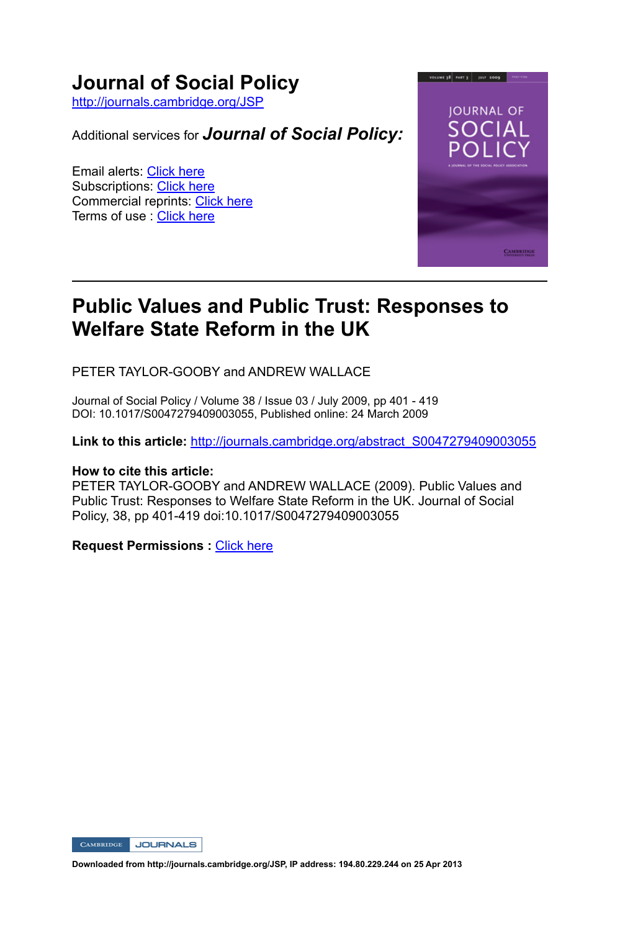# **Journal of Social Policy**

http://journals.cambridge.org/JSP

### Additional services for *Journal of Social Policy:*

Email alerts: Click here Subscriptions: Click here Commercial reprints: Click here Terms of use : Click here



## **Public Values and Public Trust: Responses to Welfare State Reform in the UK**

PETER TAYLOR-GOOBY and ANDREW WALLACE

Journal of Social Policy / Volume 38 / Issue 03 / July 2009, pp 401 - 419 DOI: 10.1017/S0047279409003055, Published online: 24 March 2009

**Link to this article:** http://journals.cambridge.org/abstract\_S0047279409003055

#### **How to cite this article:**

PETER TAYLOR-GOOBY and ANDREW WALLACE (2009). Public Values and Public Trust: Responses to Welfare State Reform in the UK. Journal of Social Policy, 38, pp 401-419 doi:10.1017/S0047279409003055

#### **Request Permissions :** Click here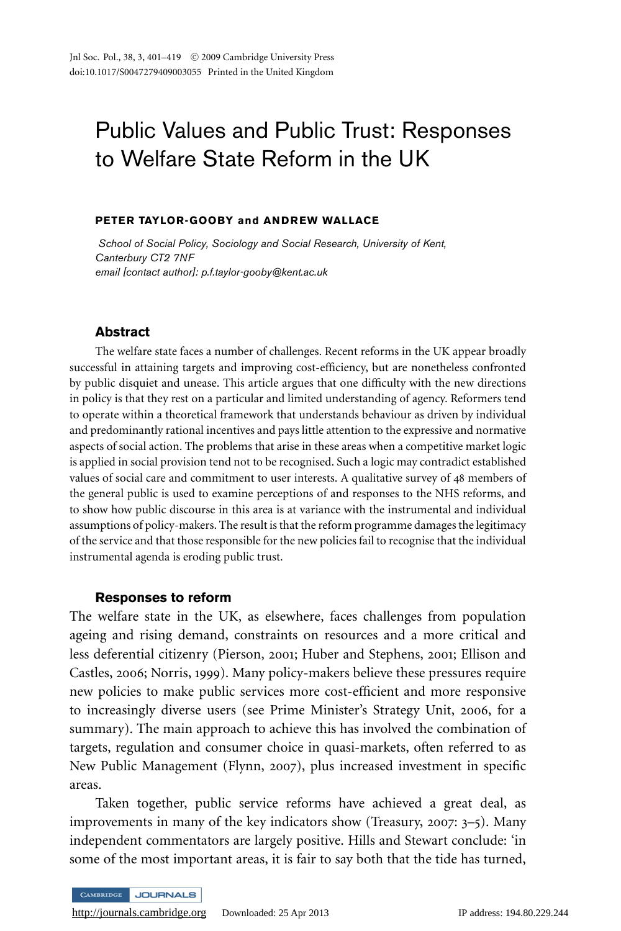# Public Values and Public Trust: Responses to Welfare State Reform in the UK

#### **PETER TAYLOR-GOOBY and ANDREW WALLACE**

*School of Social Policy, Sociology and Social Research, University of Kent, Canterbury CT2 7NF email [contact author]: p.f.taylor-gooby@kent.ac.uk*

#### **Abstract**

The welfare state faces a number of challenges. Recent reforms in the UK appear broadly successful in attaining targets and improving cost-efficiency, but are nonetheless confronted by public disquiet and unease. This article argues that one difficulty with the new directions in policy is that they rest on a particular and limited understanding of agency. Reformers tend to operate within a theoretical framework that understands behaviour as driven by individual and predominantly rational incentives and pays little attention to the expressive and normative aspects of social action. The problems that arise in these areas when a competitive market logic is applied in social provision tend not to be recognised. Such a logic may contradict established values of social care and commitment to user interests. A qualitative survey of 48 members of the general public is used to examine perceptions of and responses to the NHS reforms, and to show how public discourse in this area is at variance with the instrumental and individual assumptions of policy-makers. The result is that the reform programme damages the legitimacy of the service and that those responsible for the new policies fail to recognise that the individual instrumental agenda is eroding public trust.

#### **Responses to reform**

The welfare state in the UK, as elsewhere, faces challenges from population ageing and rising demand, constraints on resources and a more critical and less deferential citizenry (Pierson, 2001; Huber and Stephens, 2001; Ellison and Castles, 2006; Norris, 1999). Many policy-makers believe these pressures require new policies to make public services more cost-efficient and more responsive to increasingly diverse users (see Prime Minister's Strategy Unit, 2006, for a summary). The main approach to achieve this has involved the combination of targets, regulation and consumer choice in quasi-markets, often referred to as New Public Management (Flynn, 2007), plus increased investment in specific areas.

Taken together, public service reforms have achieved a great deal, as improvements in many of the key indicators show (Treasury, 2007: 3–5). Many independent commentators are largely positive. Hills and Stewart conclude: 'in some of the most important areas, it is fair to say both that the tide has turned,

**JOURNALS**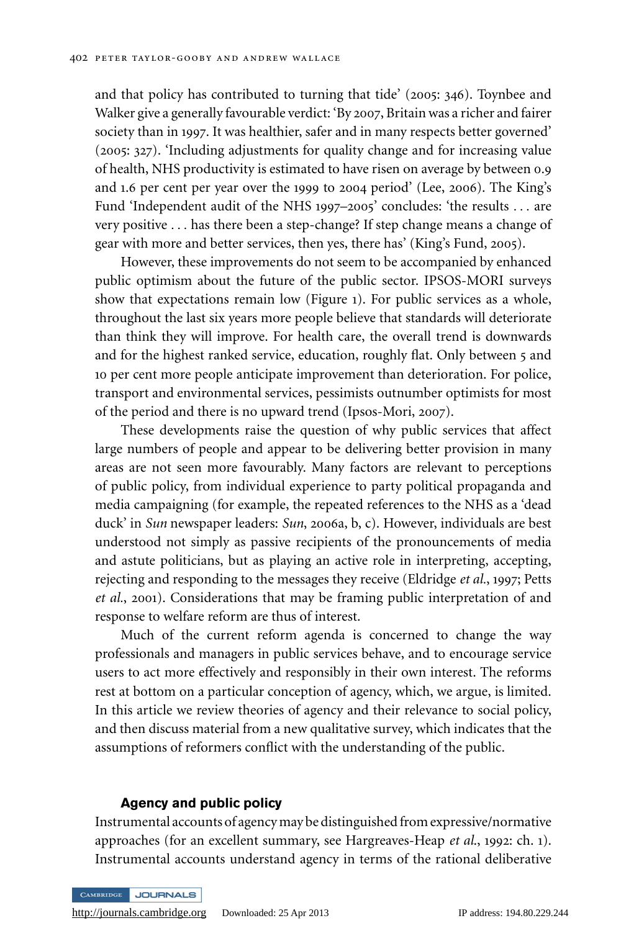and that policy has contributed to turning that tide' (2005: 346). Toynbee and Walker give a generally favourable verdict: 'By 2007, Britain was a richer and fairer society than in 1997. It was healthier, safer and in many respects better governed' (2005: 327). 'Including adjustments for quality change and for increasing value of health, NHS productivity is estimated to have risen on average by between 0.9 and 1.6 per cent per year over the 1999 to 2004 period' (Lee, 2006). The King's Fund 'Independent audit of the NHS 1997–2005' concludes: 'the results *...* are very positive *...* has there been a step-change? If step change means a change of gear with more and better services, then yes, there has' (King's Fund, 2005).

However, these improvements do not seem to be accompanied by enhanced public optimism about the future of the public sector. IPSOS-MORI surveys show that expectations remain low (Figure 1). For public services as a whole, throughout the last six years more people believe that standards will deteriorate than think they will improve. For health care, the overall trend is downwards and for the highest ranked service, education, roughly flat. Only between 5 and 10 per cent more people anticipate improvement than deterioration. For police, transport and environmental services, pessimists outnumber optimists for most of the period and there is no upward trend (Ipsos-Mori, 2007).

These developments raise the question of why public services that affect large numbers of people and appear to be delivering better provision in many areas are not seen more favourably. Many factors are relevant to perceptions of public policy, from individual experience to party political propaganda and media campaigning (for example, the repeated references to the NHS as a 'dead duck' in *Sun* newspaper leaders: *Sun*, 2006a, b, c). However, individuals are best understood not simply as passive recipients of the pronouncements of media and astute politicians, but as playing an active role in interpreting, accepting, rejecting and responding to the messages they receive (Eldridge *et al.*, 1997; Petts *et al.*, 2001). Considerations that may be framing public interpretation of and response to welfare reform are thus of interest.

Much of the current reform agenda is concerned to change the way professionals and managers in public services behave, and to encourage service users to act more effectively and responsibly in their own interest. The reforms rest at bottom on a particular conception of agency, which, we argue, is limited. In this article we review theories of agency and their relevance to social policy, and then discuss material from a new qualitative survey, which indicates that the assumptions of reformers conflict with the understanding of the public.

#### **Agency and public policy**

Instrumental accounts of agency may be distinguished from expressive/normative approaches (for an excellent summary, see Hargreaves-Heap *et al*., 1992: ch. 1). Instrumental accounts understand agency in terms of the rational deliberative

CAMBRIDGE JOURNALS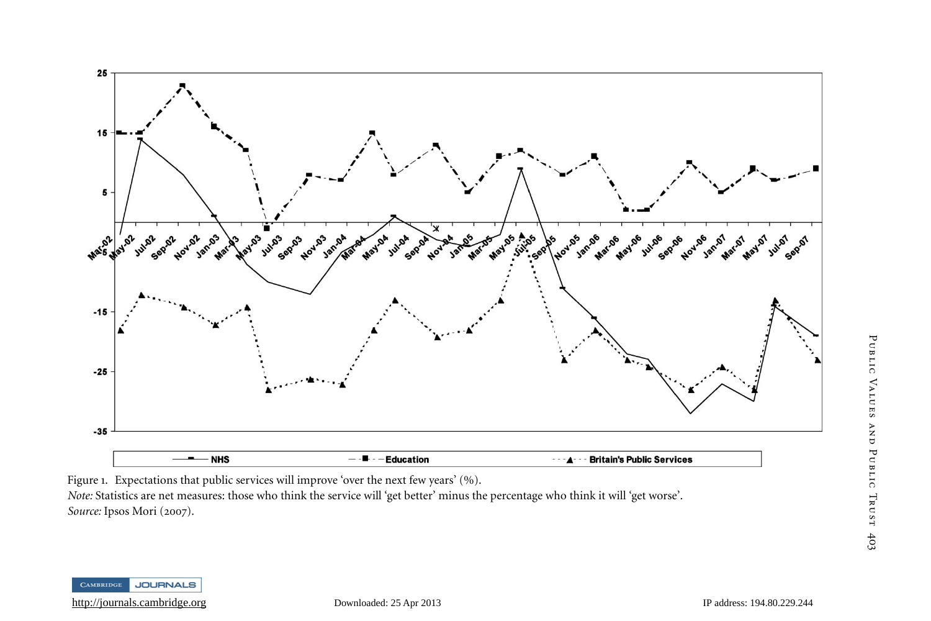

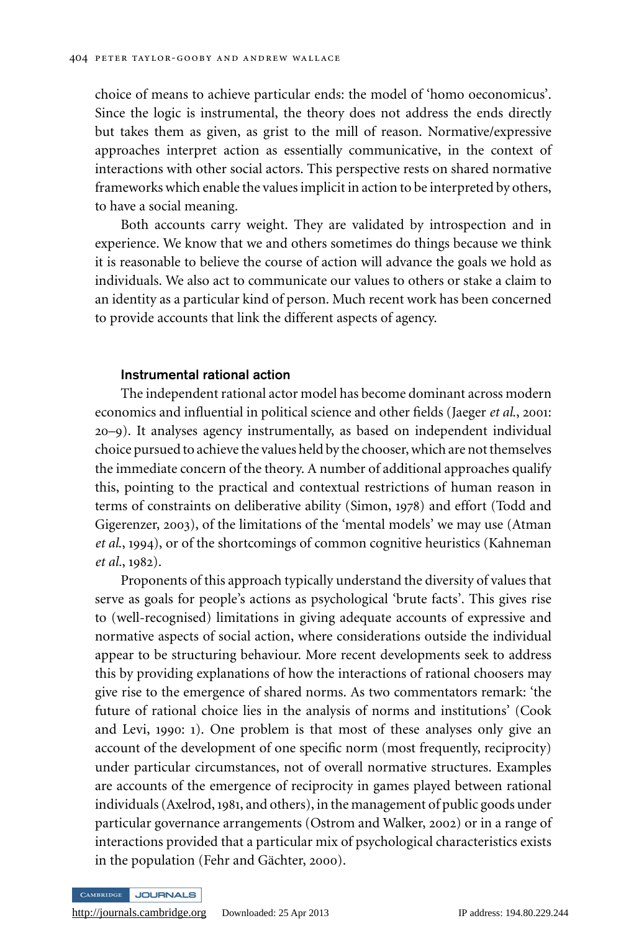choice of means to achieve particular ends: the model of 'homo oeconomicus'. Since the logic is instrumental, the theory does not address the ends directly but takes them as given, as grist to the mill of reason. Normative/expressive approaches interpret action as essentially communicative, in the context of interactions with other social actors. This perspective rests on shared normative frameworks which enable the values implicit in action to be interpreted by others, to have a social meaning.

Both accounts carry weight. They are validated by introspection and in experience. We know that we and others sometimes do things because we think it is reasonable to believe the course of action will advance the goals we hold as individuals. We also act to communicate our values to others or stake a claim to an identity as a particular kind of person. Much recent work has been concerned to provide accounts that link the different aspects of agency.

#### **Instrumental rational action**

The independent rational actor model has become dominant across modern economics and influential in political science and other fields (Jaeger *et al*., 2001: 20–9). It analyses agency instrumentally, as based on independent individual choice pursued to achieve the values held by the chooser, which are not themselves the immediate concern of the theory. A number of additional approaches qualify this, pointing to the practical and contextual restrictions of human reason in terms of constraints on deliberative ability (Simon, 1978) and effort (Todd and Gigerenzer, 2003), of the limitations of the 'mental models' we may use (Atman *et al*., 1994), or of the shortcomings of common cognitive heuristics (Kahneman *et al.*, 1982).

Proponents of this approach typically understand the diversity of values that serve as goals for people's actions as psychological 'brute facts'. This gives rise to (well-recognised) limitations in giving adequate accounts of expressive and normative aspects of social action, where considerations outside the individual appear to be structuring behaviour. More recent developments seek to address this by providing explanations of how the interactions of rational choosers may give rise to the emergence of shared norms. As two commentators remark: 'the future of rational choice lies in the analysis of norms and institutions' (Cook and Levi, 1990: 1). One problem is that most of these analyses only give an account of the development of one specific norm (most frequently, reciprocity) under particular circumstances, not of overall normative structures. Examples are accounts of the emergence of reciprocity in games played between rational individuals (Axelrod, 1981, and others), in the management of public goods under particular governance arrangements (Ostrom and Walker, 2002) or in a range of interactions provided that a particular mix of psychological characteristics exists in the population (Fehr and Gächter, 2000).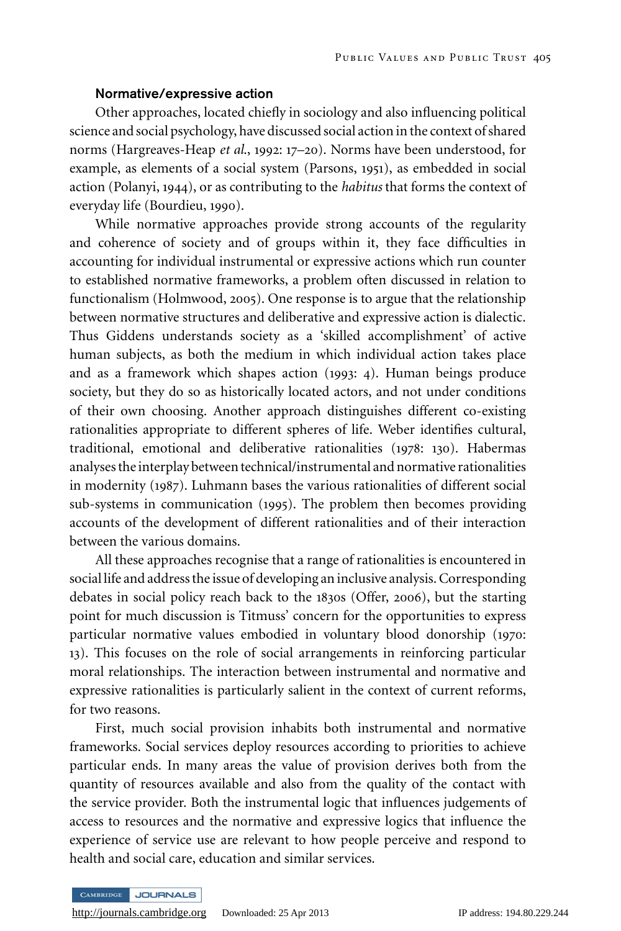#### **Normative/expressive action**

Other approaches, located chiefly in sociology and also influencing political science and social psychology, have discussed social action in the context of shared norms (Hargreaves-Heap *et al*., 1992: 17–20). Norms have been understood, for example, as elements of a social system (Parsons, 1951), as embedded in social action (Polanyi, 1944), or as contributing to the *habitus* that forms the context of everyday life (Bourdieu, 1990).

While normative approaches provide strong accounts of the regularity and coherence of society and of groups within it, they face difficulties in accounting for individual instrumental or expressive actions which run counter to established normative frameworks, a problem often discussed in relation to functionalism (Holmwood, 2005). One response is to argue that the relationship between normative structures and deliberative and expressive action is dialectic. Thus Giddens understands society as a 'skilled accomplishment' of active human subjects, as both the medium in which individual action takes place and as a framework which shapes action (1993: 4). Human beings produce society, but they do so as historically located actors, and not under conditions of their own choosing. Another approach distinguishes different co-existing rationalities appropriate to different spheres of life. Weber identifies cultural, traditional, emotional and deliberative rationalities (1978: 130). Habermas analyses the interplay between technical/instrumental and normative rationalities in modernity (1987). Luhmann bases the various rationalities of different social sub-systems in communication (1995). The problem then becomes providing accounts of the development of different rationalities and of their interaction between the various domains.

All these approaches recognise that a range of rationalities is encountered in social life and address the issue of developing an inclusive analysis. Corresponding debates in social policy reach back to the 1830s (Offer, 2006), but the starting point for much discussion is Titmuss' concern for the opportunities to express particular normative values embodied in voluntary blood donorship (1970: 13). This focuses on the role of social arrangements in reinforcing particular moral relationships. The interaction between instrumental and normative and expressive rationalities is particularly salient in the context of current reforms, for two reasons.

First, much social provision inhabits both instrumental and normative frameworks. Social services deploy resources according to priorities to achieve particular ends. In many areas the value of provision derives both from the quantity of resources available and also from the quality of the contact with the service provider. Both the instrumental logic that influences judgements of access to resources and the normative and expressive logics that influence the experience of service use are relevant to how people perceive and respond to health and social care, education and similar services.

CAMBRIDGE JOURNALS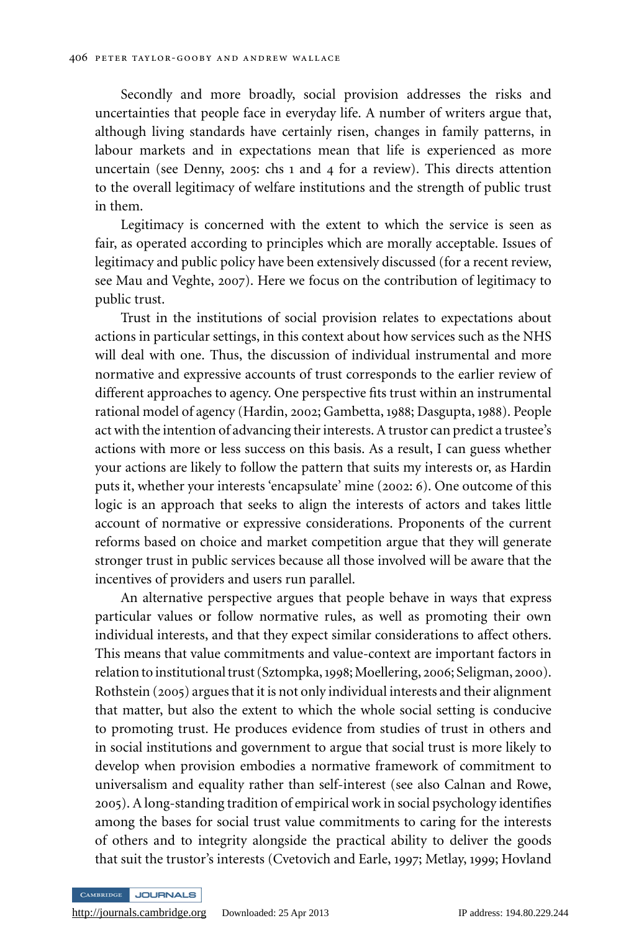Secondly and more broadly, social provision addresses the risks and uncertainties that people face in everyday life. A number of writers argue that, although living standards have certainly risen, changes in family patterns, in labour markets and in expectations mean that life is experienced as more uncertain (see Denny, 2005: chs 1 and 4 for a review). This directs attention to the overall legitimacy of welfare institutions and the strength of public trust in them.

Legitimacy is concerned with the extent to which the service is seen as fair, as operated according to principles which are morally acceptable. Issues of legitimacy and public policy have been extensively discussed (for a recent review, see Mau and Veghte, 2007). Here we focus on the contribution of legitimacy to public trust.

Trust in the institutions of social provision relates to expectations about actions in particular settings, in this context about how services such as the NHS will deal with one. Thus, the discussion of individual instrumental and more normative and expressive accounts of trust corresponds to the earlier review of different approaches to agency. One perspective fits trust within an instrumental rational model of agency (Hardin, 2002; Gambetta, 1988; Dasgupta, 1988). People act with the intention of advancing their interests. A trustor can predict a trustee's actions with more or less success on this basis. As a result, I can guess whether your actions are likely to follow the pattern that suits my interests or, as Hardin puts it, whether your interests 'encapsulate' mine (2002: 6). One outcome of this logic is an approach that seeks to align the interests of actors and takes little account of normative or expressive considerations. Proponents of the current reforms based on choice and market competition argue that they will generate stronger trust in public services because all those involved will be aware that the incentives of providers and users run parallel.

An alternative perspective argues that people behave in ways that express particular values or follow normative rules, as well as promoting their own individual interests, and that they expect similar considerations to affect others. This means that value commitments and value-context are important factors in relation to institutional trust (Sztompka,1998; Moellering, 2006; Seligman, 2000). Rothstein (2005) argues that it is not only individual interests and their alignment that matter, but also the extent to which the whole social setting is conducive to promoting trust. He produces evidence from studies of trust in others and in social institutions and government to argue that social trust is more likely to develop when provision embodies a normative framework of commitment to universalism and equality rather than self-interest (see also Calnan and Rowe, 2005). A long-standing tradition of empirical work in social psychology identifies among the bases for social trust value commitments to caring for the interests of others and to integrity alongside the practical ability to deliver the goods that suit the trustor's interests (Cvetovich and Earle, 1997; Metlay, 1999; Hovland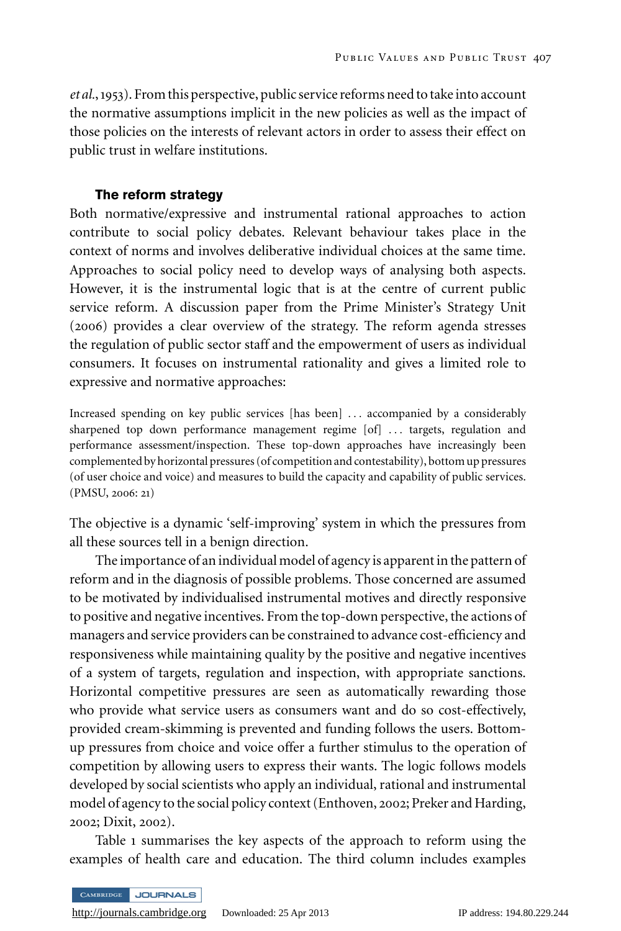*et al.*,1953). From this perspective, public service reforms need to take into account the normative assumptions implicit in the new policies as well as the impact of those policies on the interests of relevant actors in order to assess their effect on public trust in welfare institutions.

#### **The reform strategy**

Both normative/expressive and instrumental rational approaches to action contribute to social policy debates. Relevant behaviour takes place in the context of norms and involves deliberative individual choices at the same time. Approaches to social policy need to develop ways of analysing both aspects. However, it is the instrumental logic that is at the centre of current public service reform. A discussion paper from the Prime Minister's Strategy Unit (2006) provides a clear overview of the strategy. The reform agenda stresses the regulation of public sector staff and the empowerment of users as individual consumers. It focuses on instrumental rationality and gives a limited role to expressive and normative approaches:

Increased spending on key public services [has been] *...* accompanied by a considerably sharpened top down performance management regime [of] *...* targets, regulation and performance assessment/inspection. These top-down approaches have increasingly been complemented by horizontal pressures (of competition and contestability), bottom up pressures (of user choice and voice) and measures to build the capacity and capability of public services. (PMSU, 2006: 21)

The objective is a dynamic 'self-improving' system in which the pressures from all these sources tell in a benign direction.

The importance of an individual model of agency is apparent in the pattern of reform and in the diagnosis of possible problems. Those concerned are assumed to be motivated by individualised instrumental motives and directly responsive to positive and negative incentives. From the top-down perspective, the actions of managers and service providers can be constrained to advance cost-efficiency and responsiveness while maintaining quality by the positive and negative incentives of a system of targets, regulation and inspection, with appropriate sanctions. Horizontal competitive pressures are seen as automatically rewarding those who provide what service users as consumers want and do so cost-effectively, provided cream-skimming is prevented and funding follows the users. Bottomup pressures from choice and voice offer a further stimulus to the operation of competition by allowing users to express their wants. The logic follows models developed by social scientists who apply an individual, rational and instrumental model of agency to the social policy context (Enthoven, 2002; Preker and Harding, 2002; Dixit, 2002).

Table 1 summarises the key aspects of the approach to reform using the examples of health care and education. The third column includes examples

CAMBRIDGE JOURNALS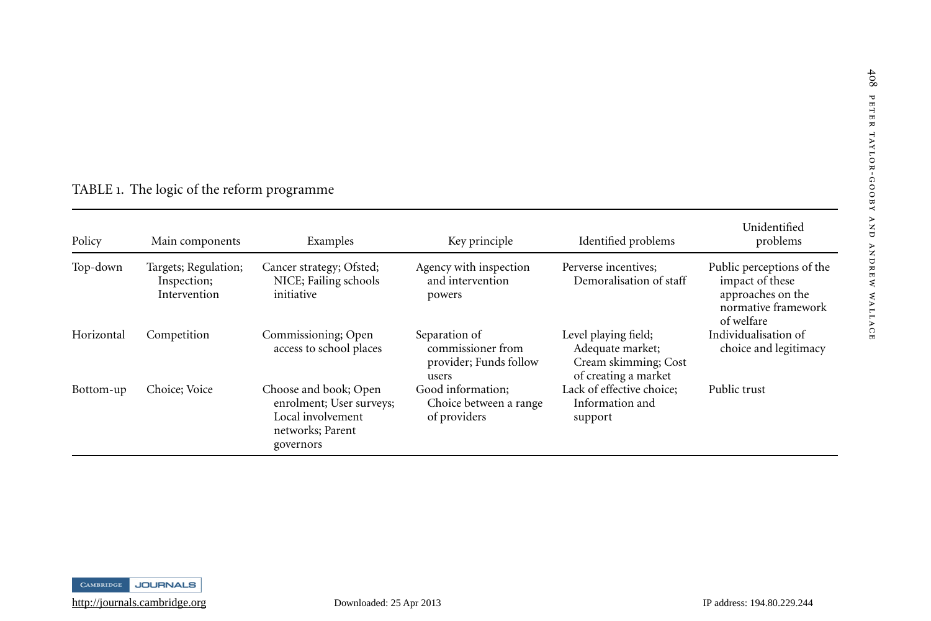| TABLE 1. The logic of the reform programme |                                                     |                                                                                                         |                                                                       |                                                                                          |                                                                                                        |
|--------------------------------------------|-----------------------------------------------------|---------------------------------------------------------------------------------------------------------|-----------------------------------------------------------------------|------------------------------------------------------------------------------------------|--------------------------------------------------------------------------------------------------------|
| Policy                                     | Main components                                     | Examples                                                                                                | Key principle                                                         | Identified problems                                                                      | Unidentified<br>problems                                                                               |
| Top-down                                   | Targets; Regulation;<br>Inspection;<br>Intervention | Cancer strategy; Ofsted;<br>NICE; Failing schools<br>initiative                                         | Agency with inspection<br>and intervention<br>powers                  | Perverse incentives;<br>Demoralisation of staff                                          | Public perceptions of the<br>impact of these<br>approaches on the<br>normative framework<br>of welfare |
| Horizontal                                 | Competition                                         | Commissioning; Open<br>access to school places                                                          | Separation of<br>commissioner from<br>provider; Funds follow<br>users | Level playing field;<br>Adequate market;<br>Cream skimming; Cost<br>of creating a market | Individualisation of<br>choice and legitimacy                                                          |
| Bottom-up                                  | Choice; Voice                                       | Choose and book; Open<br>enrolment; User surveys;<br>Local involvement<br>networks; Parent<br>governors | Good information;<br>Choice between a range<br>of providers           | Lack of effective choice;<br>Information and<br>support                                  | Public trust                                                                                           |

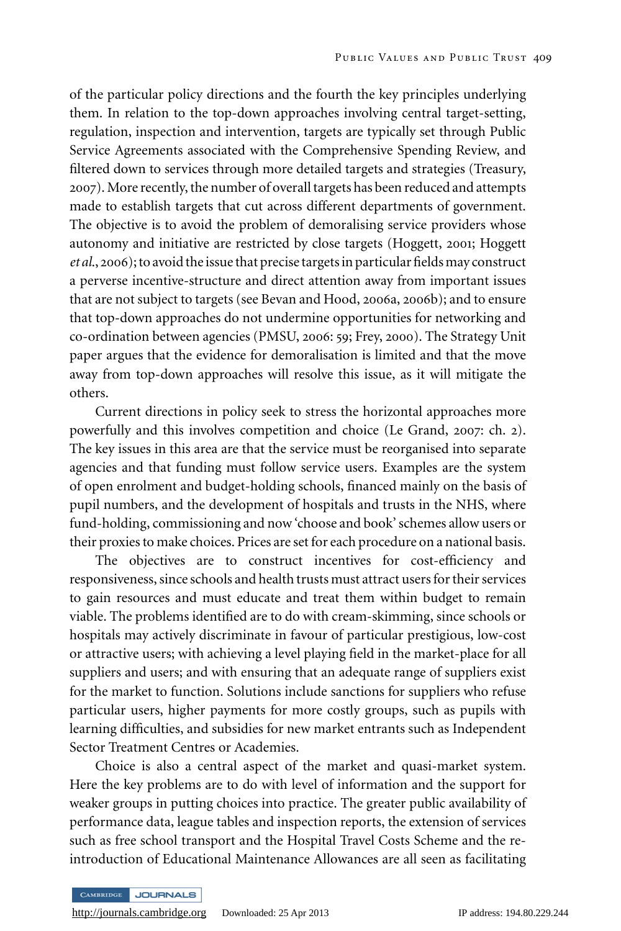of the particular policy directions and the fourth the key principles underlying them. In relation to the top-down approaches involving central target-setting, regulation, inspection and intervention, targets are typically set through Public Service Agreements associated with the Comprehensive Spending Review, and filtered down to services through more detailed targets and strategies (Treasury, 2007). More recently, the number of overall targets has been reduced and attempts made to establish targets that cut across different departments of government. The objective is to avoid the problem of demoralising service providers whose autonomy and initiative are restricted by close targets (Hoggett, 2001; Hoggett *et al*., 2006); to avoid the issue that precise targets in particular fields may construct a perverse incentive-structure and direct attention away from important issues that are not subject to targets (see Bevan and Hood, 2006a, 2006b); and to ensure that top-down approaches do not undermine opportunities for networking and co-ordination between agencies (PMSU, 2006: 59; Frey, 2000). The Strategy Unit paper argues that the evidence for demoralisation is limited and that the move away from top-down approaches will resolve this issue, as it will mitigate the others.

Current directions in policy seek to stress the horizontal approaches more powerfully and this involves competition and choice (Le Grand, 2007: ch. 2). The key issues in this area are that the service must be reorganised into separate agencies and that funding must follow service users. Examples are the system of open enrolment and budget-holding schools, financed mainly on the basis of pupil numbers, and the development of hospitals and trusts in the NHS, where fund-holding, commissioning and now 'choose and book' schemes allow users or their proxies to make choices. Prices are set for each procedure on a national basis.

The objectives are to construct incentives for cost-efficiency and responsiveness, since schools and health trusts must attract users for their services to gain resources and must educate and treat them within budget to remain viable. The problems identified are to do with cream-skimming, since schools or hospitals may actively discriminate in favour of particular prestigious, low-cost or attractive users; with achieving a level playing field in the market-place for all suppliers and users; and with ensuring that an adequate range of suppliers exist for the market to function. Solutions include sanctions for suppliers who refuse particular users, higher payments for more costly groups, such as pupils with learning difficulties, and subsidies for new market entrants such as Independent Sector Treatment Centres or Academies.

Choice is also a central aspect of the market and quasi-market system. Here the key problems are to do with level of information and the support for weaker groups in putting choices into practice. The greater public availability of performance data, league tables and inspection reports, the extension of services such as free school transport and the Hospital Travel Costs Scheme and the reintroduction of Educational Maintenance Allowances are all seen as facilitating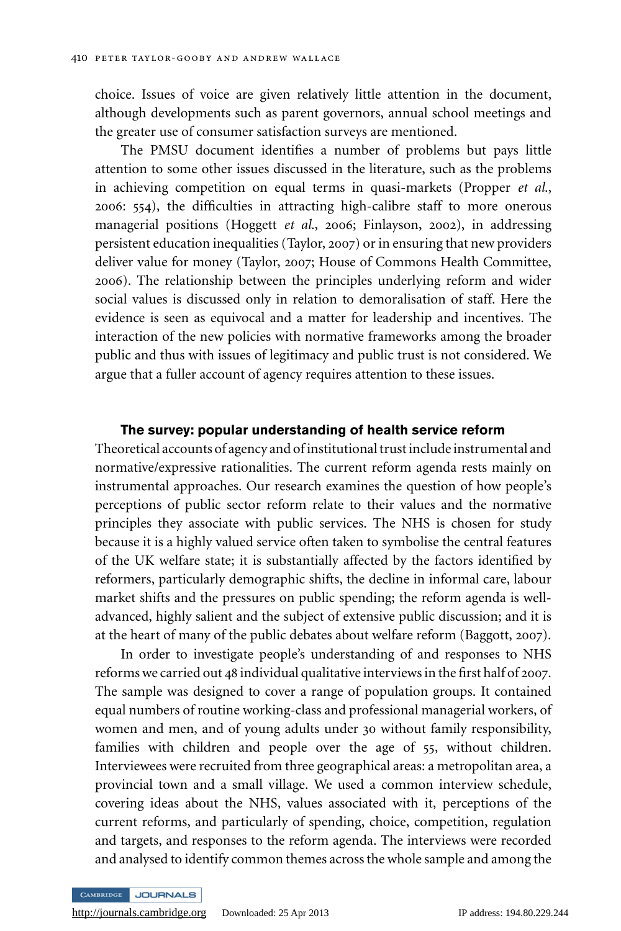choice. Issues of voice are given relatively little attention in the document, although developments such as parent governors, annual school meetings and the greater use of consumer satisfaction surveys are mentioned.

The PMSU document identifies a number of problems but pays little attention to some other issues discussed in the literature, such as the problems in achieving competition on equal terms in quasi-markets (Propper *et al*., 2006: 554), the difficulties in attracting high-calibre staff to more onerous managerial positions (Hoggett *et al*., 2006; Finlayson, 2002), in addressing persistent education inequalities (Taylor, 2007) or in ensuring that new providers deliver value for money (Taylor, 2007; House of Commons Health Committee, 2006). The relationship between the principles underlying reform and wider social values is discussed only in relation to demoralisation of staff. Here the evidence is seen as equivocal and a matter for leadership and incentives. The interaction of the new policies with normative frameworks among the broader public and thus with issues of legitimacy and public trust is not considered. We argue that a fuller account of agency requires attention to these issues.

#### **The survey: popular understanding of health service reform**

Theoretical accounts of agency and of institutional trust include instrumental and normative/expressive rationalities. The current reform agenda rests mainly on instrumental approaches. Our research examines the question of how people's perceptions of public sector reform relate to their values and the normative principles they associate with public services. The NHS is chosen for study because it is a highly valued service often taken to symbolise the central features of the UK welfare state; it is substantially affected by the factors identified by reformers, particularly demographic shifts, the decline in informal care, labour market shifts and the pressures on public spending; the reform agenda is welladvanced, highly salient and the subject of extensive public discussion; and it is at the heart of many of the public debates about welfare reform (Baggott, 2007).

In order to investigate people's understanding of and responses to NHS reforms we carried out 48 individual qualitative interviews in the first half of 2007. The sample was designed to cover a range of population groups. It contained equal numbers of routine working-class and professional managerial workers, of women and men, and of young adults under 30 without family responsibility, families with children and people over the age of 55, without children. Interviewees were recruited from three geographical areas: a metropolitan area, a provincial town and a small village. We used a common interview schedule, covering ideas about the NHS, values associated with it, perceptions of the current reforms, and particularly of spending, choice, competition, regulation and targets, and responses to the reform agenda. The interviews were recorded and analysed to identify common themes across the whole sample and among the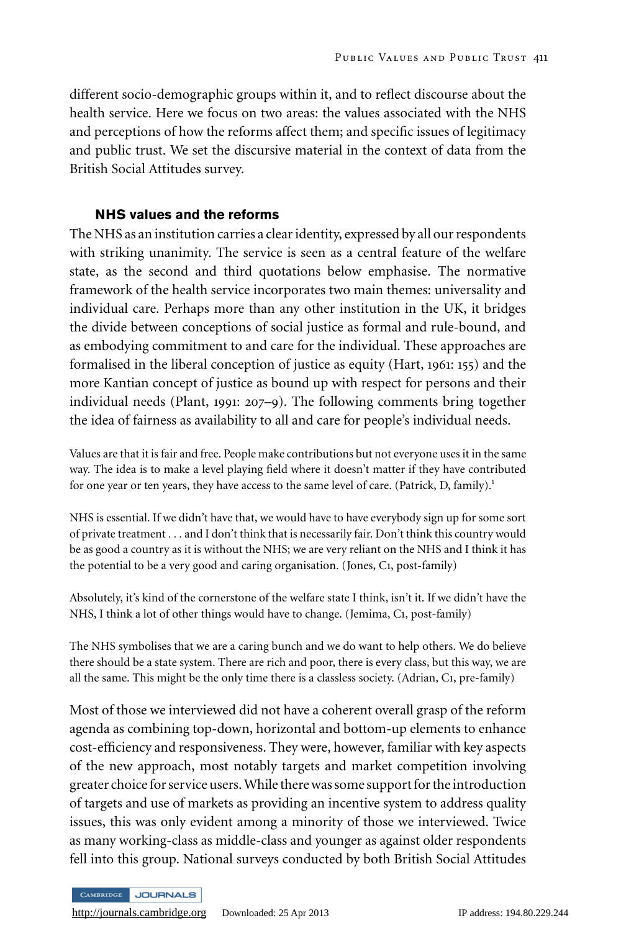different socio-demographic groups within it, and to reflect discourse about the health service. Here we focus on two areas: the values associated with the NHS and perceptions of how the reforms affect them; and specific issues of legitimacy and public trust. We set the discursive material in the context of data from the British Social Attitudes survey.

### **NHS values and the reforms**

The NHS as an institution carries a clear identity, expressed by all our respondents with striking unanimity. The service is seen as a central feature of the welfare state, as the second and third quotations below emphasise. The normative framework of the health service incorporates two main themes: universality and individual care. Perhaps more than any other institution in the UK, it bridges the divide between conceptions of social justice as formal and rule-bound, and as embodying commitment to and care for the individual. These approaches are formalised in the liberal conception of justice as equity (Hart, 1961: 155) and the more Kantian concept of justice as bound up with respect for persons and their individual needs (Plant, 1991: 207–9). The following comments bring together the idea of fairness as availability to all and care for people's individual needs.

Values are that it is fair and free. People make contributions but not everyone uses it in the same way. The idea is to make a level playing field where it doesn't matter if they have contributed for one year or ten years, they have access to the same level of care. (Patrick, D, family).<sup>1</sup>

NHS is essential. If we didn't have that, we would have to have everybody sign up for some sort of private treatment *...* and I don't think that is necessarily fair. Don't think this country would be as good a country as it is without the NHS; we are very reliant on the NHS and I think it has the potential to be a very good and caring organisation. (Jones, C1, post-family)

Absolutely, it's kind of the cornerstone of the welfare state I think, isn't it. If we didn't have the NHS, I think a lot of other things would have to change. (Jemima, C1, post-family)

The NHS symbolises that we are a caring bunch and we do want to help others. We do believe there should be a state system. There are rich and poor, there is every class, but this way, we are all the same. This might be the only time there is a classless society. (Adrian, C1, pre-family)

Most of those we interviewed did not have a coherent overall grasp of the reform agenda as combining top-down, horizontal and bottom-up elements to enhance cost-efficiency and responsiveness. They were, however, familiar with key aspects of the new approach, most notably targets and market competition involving greater choice for service users. While there was some support for the introduction of targets and use of markets as providing an incentive system to address quality issues, this was only evident among a minority of those we interviewed. Twice as many working-class as middle-class and younger as against older respondents fell into this group. National surveys conducted by both British Social Attitudes

CAMBRIDGE JOURNALS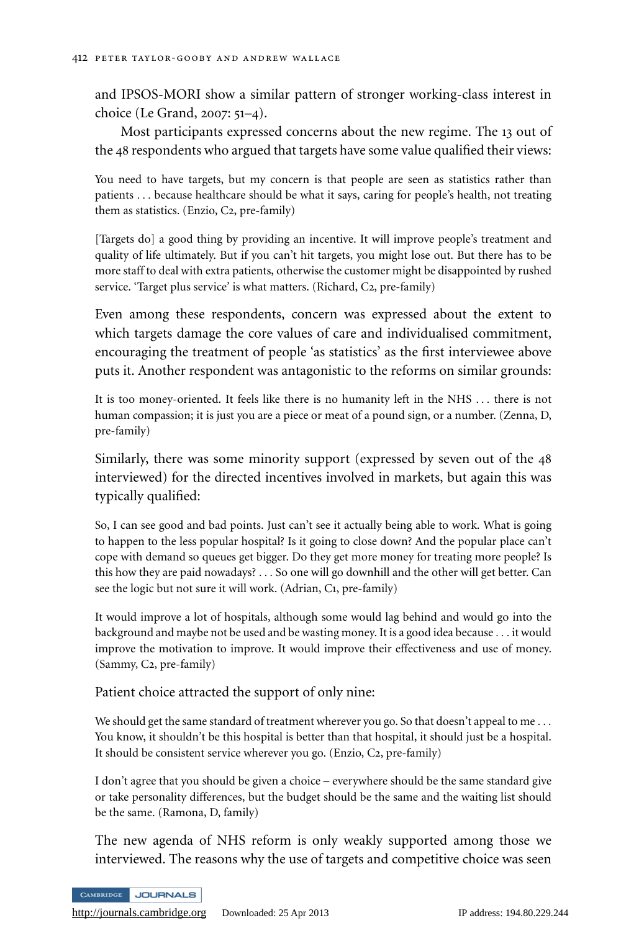and IPSOS-MORI show a similar pattern of stronger working-class interest in choice (Le Grand, 2007: 51–4).

Most participants expressed concerns about the new regime. The 13 out of the 48 respondents who argued that targets have some value qualified their views:

You need to have targets, but my concern is that people are seen as statistics rather than patients *...* because healthcare should be what it says, caring for people's health, not treating them as statistics. (Enzio, C2, pre-family)

[Targets do] a good thing by providing an incentive. It will improve people's treatment and quality of life ultimately. But if you can't hit targets, you might lose out. But there has to be more staff to deal with extra patients, otherwise the customer might be disappointed by rushed service. 'Target plus service' is what matters. (Richard, C2, pre-family)

Even among these respondents, concern was expressed about the extent to which targets damage the core values of care and individualised commitment, encouraging the treatment of people 'as statistics' as the first interviewee above puts it. Another respondent was antagonistic to the reforms on similar grounds:

It is too money-oriented. It feels like there is no humanity left in the NHS *...* there is not human compassion; it is just you are a piece or meat of a pound sign, or a number. (Zenna, D, pre-family)

Similarly, there was some minority support (expressed by seven out of the 48 interviewed) for the directed incentives involved in markets, but again this was typically qualified:

So, I can see good and bad points. Just can't see it actually being able to work. What is going to happen to the less popular hospital? Is it going to close down? And the popular place can't cope with demand so queues get bigger. Do they get more money for treating more people? Is this how they are paid nowadays? *...* So one will go downhill and the other will get better. Can see the logic but not sure it will work. (Adrian, C1, pre-family)

It would improve a lot of hospitals, although some would lag behind and would go into the background and maybe not be used and be wasting money. It is a good idea because *...* it would improve the motivation to improve. It would improve their effectiveness and use of money. (Sammy, C2, pre-family)

Patient choice attracted the support of only nine:

We should get the same standard of treatment wherever you go. So that doesn't appeal to me *...* You know, it shouldn't be this hospital is better than that hospital, it should just be a hospital. It should be consistent service wherever you go. (Enzio, C2, pre-family)

I don't agree that you should be given a choice – everywhere should be the same standard give or take personality differences, but the budget should be the same and the waiting list should be the same. (Ramona, D, family)

The new agenda of NHS reform is only weakly supported among those we interviewed. The reasons why the use of targets and competitive choice was seen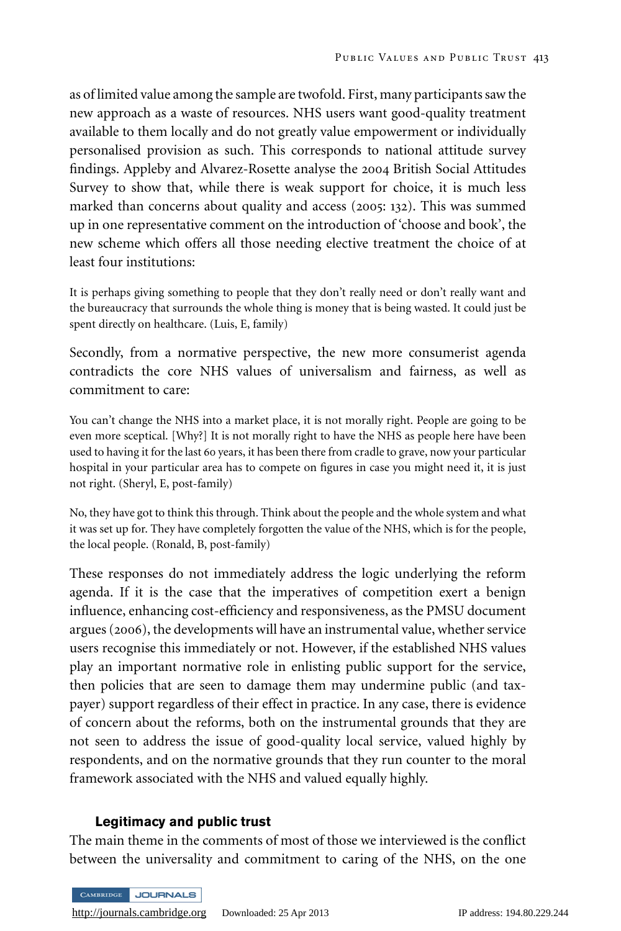as of limited value among the sample are twofold. First, many participants saw the new approach as a waste of resources. NHS users want good-quality treatment available to them locally and do not greatly value empowerment or individually personalised provision as such. This corresponds to national attitude survey findings. Appleby and Alvarez-Rosette analyse the 2004 British Social Attitudes Survey to show that, while there is weak support for choice, it is much less marked than concerns about quality and access (2005: 132). This was summed up in one representative comment on the introduction of 'choose and book', the new scheme which offers all those needing elective treatment the choice of at least four institutions:

It is perhaps giving something to people that they don't really need or don't really want and the bureaucracy that surrounds the whole thing is money that is being wasted. It could just be spent directly on healthcare. (Luis, E, family)

Secondly, from a normative perspective, the new more consumerist agenda contradicts the core NHS values of universalism and fairness, as well as commitment to care:

You can't change the NHS into a market place, it is not morally right. People are going to be even more sceptical. [Why?] It is not morally right to have the NHS as people here have been used to having it for the last 60 years, it has been there from cradle to grave, now your particular hospital in your particular area has to compete on figures in case you might need it, it is just not right. (Sheryl, E, post-family)

No, they have got to think this through. Think about the people and the whole system and what it was set up for. They have completely forgotten the value of the NHS, which is for the people, the local people. (Ronald, B, post-family)

These responses do not immediately address the logic underlying the reform agenda. If it is the case that the imperatives of competition exert a benign influence, enhancing cost-efficiency and responsiveness, as the PMSU document argues (2006), the developments will have an instrumental value, whether service users recognise this immediately or not. However, if the established NHS values play an important normative role in enlisting public support for the service, then policies that are seen to damage them may undermine public (and taxpayer) support regardless of their effect in practice. In any case, there is evidence of concern about the reforms, both on the instrumental grounds that they are not seen to address the issue of good-quality local service, valued highly by respondents, and on the normative grounds that they run counter to the moral framework associated with the NHS and valued equally highly.

#### **Legitimacy and public trust**

The main theme in the comments of most of those we interviewed is the conflict between the universality and commitment to caring of the NHS, on the one

CAMBRIDGE JOURNALS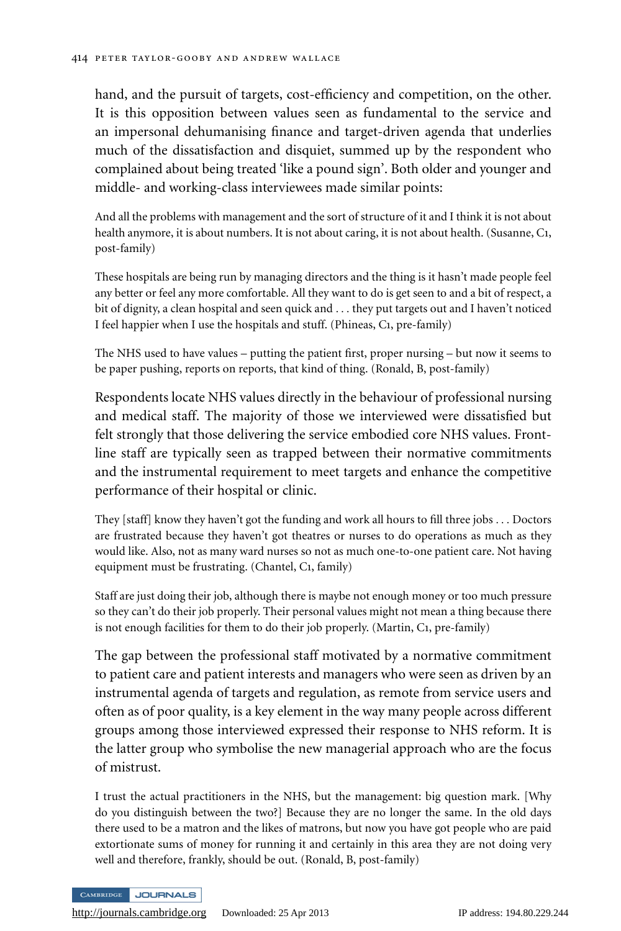hand, and the pursuit of targets, cost-efficiency and competition, on the other. It is this opposition between values seen as fundamental to the service and an impersonal dehumanising finance and target-driven agenda that underlies much of the dissatisfaction and disquiet, summed up by the respondent who complained about being treated 'like a pound sign'. Both older and younger and middle- and working-class interviewees made similar points:

And all the problems with management and the sort of structure of it and I think it is not about health anymore, it is about numbers. It is not about caring, it is not about health. (Susanne, C1, post-family)

These hospitals are being run by managing directors and the thing is it hasn't made people feel any better or feel any more comfortable. All they want to do is get seen to and a bit of respect, a bit of dignity, a clean hospital and seen quick and *...* they put targets out and I haven't noticed I feel happier when I use the hospitals and stuff. (Phineas, C1, pre-family)

The NHS used to have values – putting the patient first, proper nursing – but now it seems to be paper pushing, reports on reports, that kind of thing. (Ronald, B, post-family)

Respondents locate NHS values directly in the behaviour of professional nursing and medical staff. The majority of those we interviewed were dissatisfied but felt strongly that those delivering the service embodied core NHS values. Frontline staff are typically seen as trapped between their normative commitments and the instrumental requirement to meet targets and enhance the competitive performance of their hospital or clinic.

They [staff] know they haven't got the funding and work all hours to fill three jobs *...* Doctors are frustrated because they haven't got theatres or nurses to do operations as much as they would like. Also, not as many ward nurses so not as much one-to-one patient care. Not having equipment must be frustrating. (Chantel, C1, family)

Staff are just doing their job, although there is maybe not enough money or too much pressure so they can't do their job properly. Their personal values might not mean a thing because there is not enough facilities for them to do their job properly. (Martin, C1, pre-family)

The gap between the professional staff motivated by a normative commitment to patient care and patient interests and managers who were seen as driven by an instrumental agenda of targets and regulation, as remote from service users and often as of poor quality, is a key element in the way many people across different groups among those interviewed expressed their response to NHS reform. It is the latter group who symbolise the new managerial approach who are the focus of mistrust.

I trust the actual practitioners in the NHS, but the management: big question mark. [Why do you distinguish between the two?] Because they are no longer the same. In the old days there used to be a matron and the likes of matrons, but now you have got people who are paid extortionate sums of money for running it and certainly in this area they are not doing very well and therefore, frankly, should be out. (Ronald, B, post-family)

JOURNALS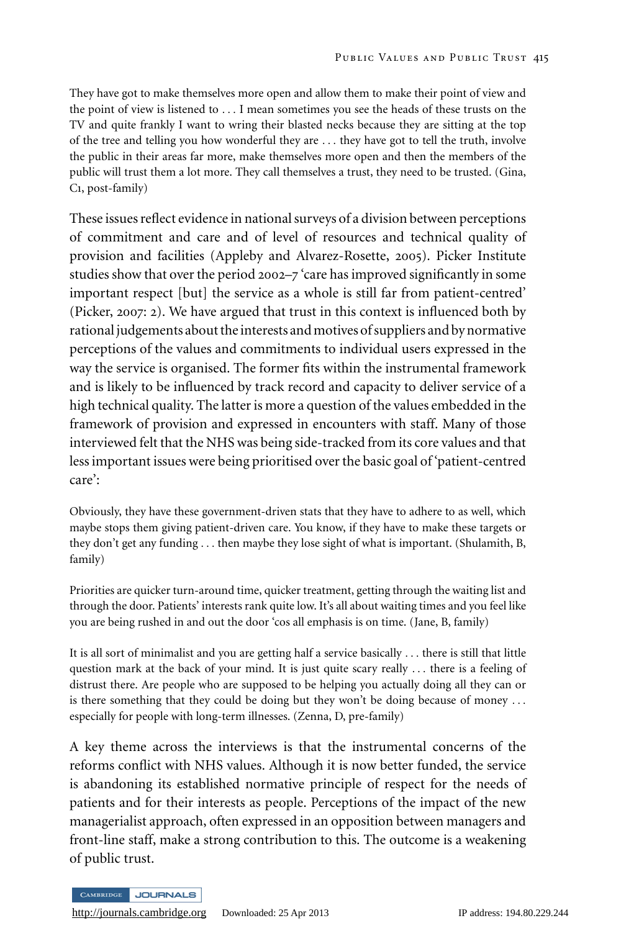They have got to make themselves more open and allow them to make their point of view and the point of view is listened to *...* I mean sometimes you see the heads of these trusts on the TV and quite frankly I want to wring their blasted necks because they are sitting at the top of the tree and telling you how wonderful they are *...* they have got to tell the truth, involve the public in their areas far more, make themselves more open and then the members of the public will trust them a lot more. They call themselves a trust, they need to be trusted. (Gina, C1, post-family)

These issues reflect evidence in national surveys of a division between perceptions of commitment and care and of level of resources and technical quality of provision and facilities (Appleby and Alvarez-Rosette, 2005). Picker Institute studies show that over the period 2002–7 'care has improved significantly in some important respect [but] the service as a whole is still far from patient-centred' (Picker, 2007: 2). We have argued that trust in this context is influenced both by rational judgements about the interests and motives of suppliers and by normative perceptions of the values and commitments to individual users expressed in the way the service is organised. The former fits within the instrumental framework and is likely to be influenced by track record and capacity to deliver service of a high technical quality. The latter is more a question of the values embedded in the framework of provision and expressed in encounters with staff. Many of those interviewed felt that the NHS was being side-tracked from its core values and that less important issues were being prioritised over the basic goal of 'patient-centred care':

Obviously, they have these government-driven stats that they have to adhere to as well, which maybe stops them giving patient-driven care. You know, if they have to make these targets or they don't get any funding *...* then maybe they lose sight of what is important. (Shulamith, B, family)

Priorities are quicker turn-around time, quicker treatment, getting through the waiting list and through the door. Patients' interests rank quite low. It's all about waiting times and you feel like you are being rushed in and out the door 'cos all emphasis is on time. (Jane, B, family)

It is all sort of minimalist and you are getting half a service basically *...* there is still that little question mark at the back of your mind. It is just quite scary really *...* there is a feeling of distrust there. Are people who are supposed to be helping you actually doing all they can or is there something that they could be doing but they won't be doing because of money *...* especially for people with long-term illnesses. (Zenna, D, pre-family)

A key theme across the interviews is that the instrumental concerns of the reforms conflict with NHS values. Although it is now better funded, the service is abandoning its established normative principle of respect for the needs of patients and for their interests as people. Perceptions of the impact of the new managerialist approach, often expressed in an opposition between managers and front-line staff, make a strong contribution to this. The outcome is a weakening of public trust.

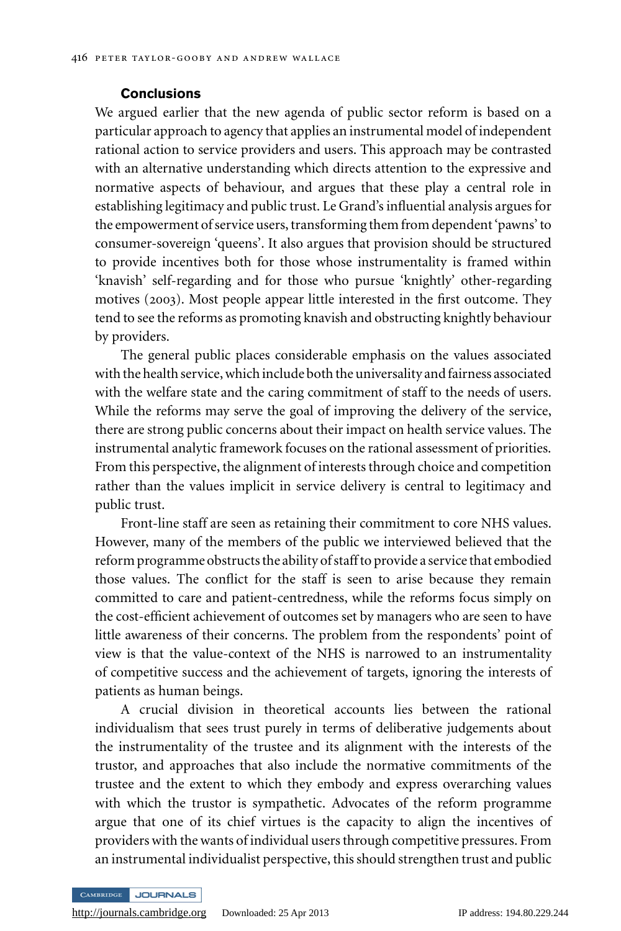#### **Conclusions**

We argued earlier that the new agenda of public sector reform is based on a particular approach to agency that applies an instrumental model of independent rational action to service providers and users. This approach may be contrasted with an alternative understanding which directs attention to the expressive and normative aspects of behaviour, and argues that these play a central role in establishing legitimacy and public trust. Le Grand's influential analysis argues for the empowerment of service users, transforming them from dependent 'pawns' to consumer-sovereign 'queens'. It also argues that provision should be structured to provide incentives both for those whose instrumentality is framed within 'knavish' self-regarding and for those who pursue 'knightly' other-regarding motives (2003). Most people appear little interested in the first outcome. They tend to see the reforms as promoting knavish and obstructing knightly behaviour by providers.

The general public places considerable emphasis on the values associated with the health service, which include both the universality and fairness associated with the welfare state and the caring commitment of staff to the needs of users. While the reforms may serve the goal of improving the delivery of the service, there are strong public concerns about their impact on health service values. The instrumental analytic framework focuses on the rational assessment of priorities. From this perspective, the alignment of interests through choice and competition rather than the values implicit in service delivery is central to legitimacy and public trust.

Front-line staff are seen as retaining their commitment to core NHS values. However, many of the members of the public we interviewed believed that the reform programme obstructs the ability of staff to provide a service that embodied those values. The conflict for the staff is seen to arise because they remain committed to care and patient-centredness, while the reforms focus simply on the cost-efficient achievement of outcomes set by managers who are seen to have little awareness of their concerns. The problem from the respondents' point of view is that the value-context of the NHS is narrowed to an instrumentality of competitive success and the achievement of targets, ignoring the interests of patients as human beings.

A crucial division in theoretical accounts lies between the rational individualism that sees trust purely in terms of deliberative judgements about the instrumentality of the trustee and its alignment with the interests of the trustor, and approaches that also include the normative commitments of the trustee and the extent to which they embody and express overarching values with which the trustor is sympathetic. Advocates of the reform programme argue that one of its chief virtues is the capacity to align the incentives of providers with the wants of individual users through competitive pressures. From an instrumental individualist perspective, this should strengthen trust and public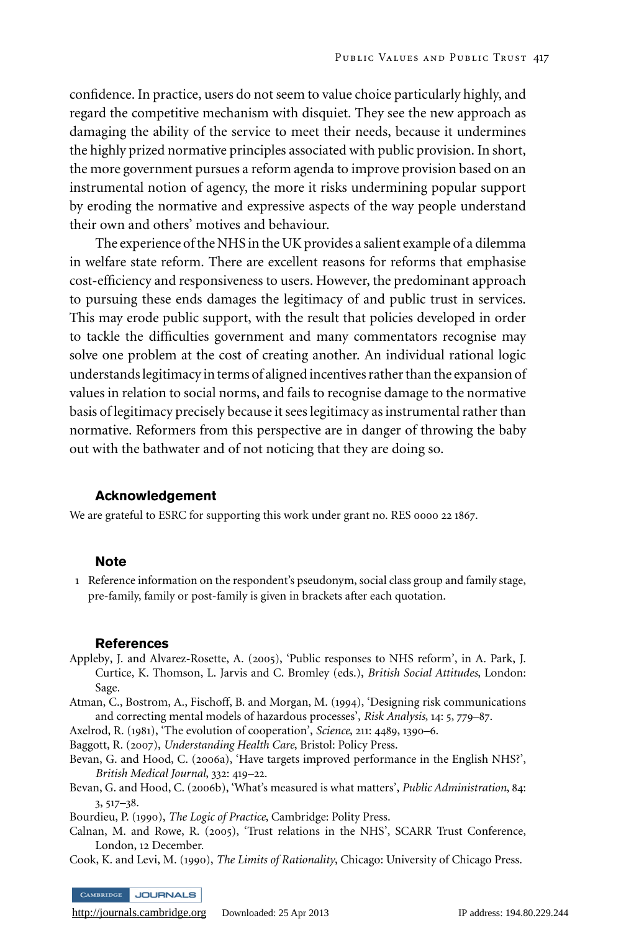confidence. In practice, users do not seem to value choice particularly highly, and regard the competitive mechanism with disquiet. They see the new approach as damaging the ability of the service to meet their needs, because it undermines the highly prized normative principles associated with public provision. In short, the more government pursues a reform agenda to improve provision based on an instrumental notion of agency, the more it risks undermining popular support by eroding the normative and expressive aspects of the way people understand their own and others' motives and behaviour.

The experience of the NHS in the UK provides a salient example of a dilemma in welfare state reform. There are excellent reasons for reforms that emphasise cost-efficiency and responsiveness to users. However, the predominant approach to pursuing these ends damages the legitimacy of and public trust in services. This may erode public support, with the result that policies developed in order to tackle the difficulties government and many commentators recognise may solve one problem at the cost of creating another. An individual rational logic understands legitimacy in terms of aligned incentives rather than the expansion of values in relation to social norms, and fails to recognise damage to the normative basis of legitimacy precisely because it sees legitimacy as instrumental rather than normative. Reformers from this perspective are in danger of throwing the baby out with the bathwater and of not noticing that they are doing so.

#### **Acknowledgement**

We are grateful to ESRC for supporting this work under grant no. RES 0000 22 1867.

#### **Note**

1 Reference information on the respondent's pseudonym, social class group and family stage, pre-family, family or post-family is given in brackets after each quotation.

#### **References**

- Appleby, J. and Alvarez-Rosette, A. (2005), 'Public responses to NHS reform', in A. Park, J. Curtice, K. Thomson, L. Jarvis and C. Bromley (eds.), *British Social Attitudes*, London: Sage.
- Atman, C., Bostrom, A., Fischoff, B. and Morgan, M. (1994), 'Designing risk communications and correcting mental models of hazardous processes', *Risk Analysis*, 14: 5, 779–87.

Axelrod, R. (1981), 'The evolution of cooperation', *Science*, 211: 4489, 1390–6.

Baggott, R. (2007), *Understanding Health Care*, Bristol: Policy Press.

- Bevan, G. and Hood, C. (2006a), 'Have targets improved performance in the English NHS?', *British Medical Journal*, 332: 419–22.
- Bevan, G. and Hood, C. (2006b), 'What's measured is what matters', *Public Administration*, 84: 3, 517–38.

Bourdieu, P. (1990), *The Logic of Practice*, Cambridge: Polity Press.

Calnan, M. and Rowe, R. (2005), 'Trust relations in the NHS', SCARR Trust Conference, London, 12 December.

Cook, K. and Levi, M. (1990), *The Limits of Rationality*, Chicago: University of Chicago Press.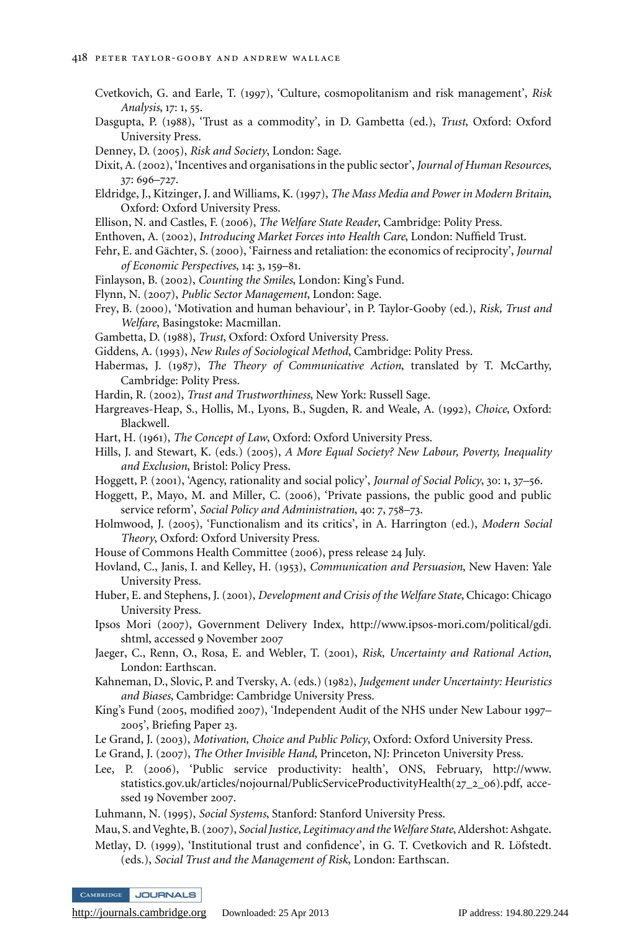- Cvetkovich, G. and Earle, T. (1997), 'Culture, cosmopolitanism and risk management', *Risk Analysis*, 17: 1, 55.
- Dasgupta, P. (1988), 'Trust as a commodity', in D. Gambetta (ed.), *Trust*, Oxford: Oxford University Press.
- Denney, D. (2005), *Risk and Society*, London: Sage.
- Dixit, A. (2002), 'Incentives and organisations in the public sector', *Journal of Human Resources*, 37: 696–727.
- Eldridge, J., Kitzinger, J. and Williams, K. (1997), *The Mass Media and Power in Modern Britain*, Oxford: Oxford University Press.
- Ellison, N. and Castles, F. (2006), *The Welfare State Reader*, Cambridge: Polity Press.
- Enthoven, A. (2002), *Introducing Market Forces into Health Care*, London: Nuffield Trust.
- Fehr, E. and Gächter, S. (2000), 'Fairness and retaliation: the economics of reciprocity', *Journal of Economic Perspectives*, 14: 3, 159–81.
- Finlayson, B. (2002), *Counting the Smiles*, London: King's Fund.
- Flynn, N. (2007), *Public Sector Management*, London: Sage.
- Frey, B. (2000), 'Motivation and human behaviour', in P. Taylor-Gooby (ed.), *Risk, Trust and Welfare*, Basingstoke: Macmillan.
- Gambetta, D. (1988), *Trust*, Oxford: Oxford University Press.
- Giddens, A. (1993), *New Rules of Sociological Method*, Cambridge: Polity Press.
- Habermas, J. (1987), *The Theory of Communicative Action*, translated by T. McCarthy, Cambridge: Polity Press.
- Hardin, R. (2002), *Trust and Trustworthiness*, New York: Russell Sage.
- Hargreaves-Heap, S., Hollis, M., Lyons, B., Sugden, R. and Weale, A. (1992), *Choice*, Oxford: Blackwell.
- Hart, H. (1961), *The Concept of Law*, Oxford: Oxford University Press.
- Hills, J. and Stewart, K. (eds.) (2005), *A More Equal Society? New Labour, Poverty, Inequality and Exclusion*, Bristol: Policy Press.
- Hoggett, P. (2001), 'Agency, rationality and social policy', *Journal of Social Policy*, 30: 1, 37–56.
- Hoggett, P., Mayo, M. and Miller, C. (2006), 'Private passions, the public good and public service reform', *Social Policy and Administration*, 40: 7, 758–73.
- Holmwood, J. (2005), 'Functionalism and its critics', in A. Harrington (ed.), *Modern Social Theory*, Oxford: Oxford University Press.
- House of Commons Health Committee (2006), press release 24 July.
- Hovland, C., Janis, I. and Kelley, H. (1953), *Communication and Persuasion*, New Haven: Yale University Press.
- Huber, E. and Stephens, J. (2001), *Development and Crisis of the Welfare State*, Chicago: Chicago University Press.
- Ipsos Mori (2007), Government Delivery Index, http://www.ipsos-mori.com/political/gdi. shtml, accessed 9 November 2007
- Jaeger, C., Renn, O., Rosa, E. and Webler, T. (2001), *Risk, Uncertainty and Rational Action*, London: Earthscan.
- Kahneman, D., Slovic, P. and Tversky, A. (eds.) (1982), *Judgement under Uncertainty: Heuristics and Biases*, Cambridge: Cambridge University Press.
- King's Fund (2005, modified 2007), 'Independent Audit of the NHS under New Labour 1997– 2005', Briefing Paper 23.
- Le Grand, J. (2003), *Motivation, Choice and Public Policy*, Oxford: Oxford University Press.
- Le Grand, J. (2007), *The Other Invisible Hand*, Princeton, NJ: Princeton University Press.
- Lee, P. (2006), 'Public service productivity: health', ONS, February, http://www. statistics.gov.uk/articles/nojournal/PublicServiceProductivityHealth(27\_2\_06).pdf, accessed 19 November 2007.
- Luhmann, N. (1995), *Social Systems*, Stanford: Stanford University Press.

Mau, S. and Veghte, B. (2007), *Social Justice, Legitimacy andtheWelfare State*, Aldershot: Ashgate. Metlay, D. (1999), 'Institutional trust and confidence', in G. T. Cvetkovich and R. Löfstedt. (eds.), *Social Trust and the Management of Risk*, London: Earthscan.

JOURNALS